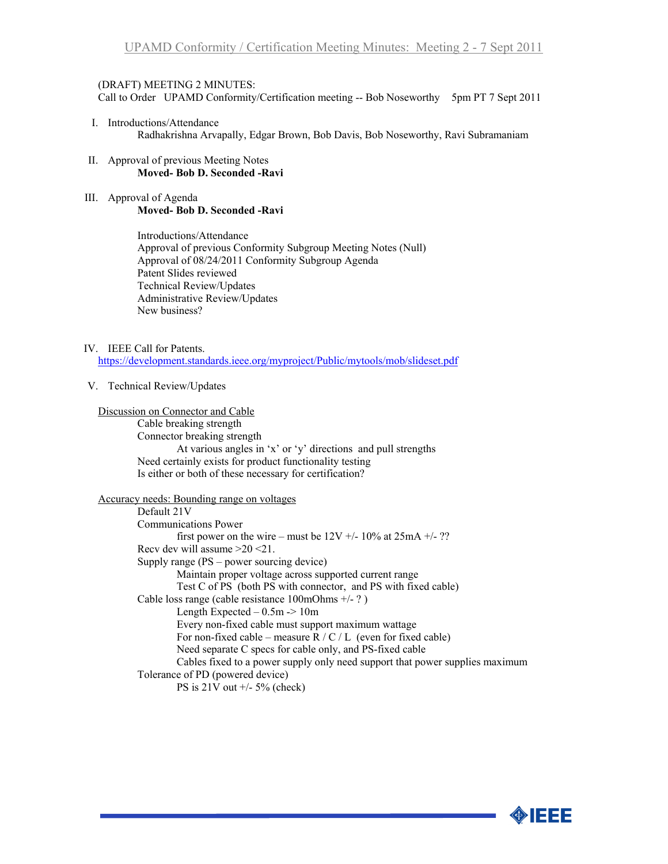## (DRAFT) MEETING 2 MINUTES:

Call to Order UPAMD Conformity/Certification meeting -- Bob Noseworthy 5pm PT 7 Sept 2011

- I. Introductions/Attendance Radhakrishna Arvapally, Edgar Brown, Bob Davis, Bob Noseworthy, Ravi Subramaniam
- II. Approval of previous Meeting Notes **Moved- Bob D. Seconded -Ravi**
- III. Approval of Agenda **Moved- Bob D. Seconded -Ravi**

Introductions/Attendance Approval of previous Conformity Subgroup Meeting Notes (Null) Approval of 08/24/2011 Conformity Subgroup Agenda Patent Slides reviewed Technical Review/Updates Administrative Review/Updates New business?

#### IV. IEEE Call for Patents.

<https://development.standards.ieee.org/myproject/Public/mytools/mob/slideset.pdf>

#### V. Technical Review/Updates

#### Discussion on Connector and Cable

Cable breaking strength Connector breaking strength At various angles in 'x' or 'y' directions and pull strengths Need certainly exists for product functionality testing Is either or both of these necessary for certification?

### Accuracy needs: Bounding range on voltages

Default 21V Communications Power first power on the wire – must be  $12V +10\%$  at  $25mA +12$ ? Recv dev will assume >20 <21. Supply range (PS – power sourcing device) Maintain proper voltage across supported current range Test C of PS (both PS with connector, and PS with fixed cable) Cable loss range (cable resistance 100mOhms +/- ? ) Length Expected  $-0.5m \ge 10m$ Every non-fixed cable must support maximum wattage For non-fixed cable – measure  $R / C / L$  (even for fixed cable) Need separate C specs for cable only, and PS-fixed cable Cables fixed to a power supply only need support that power supplies maximum Tolerance of PD (powered device) PS is  $21V$  out  $+/$ - 5% (check)